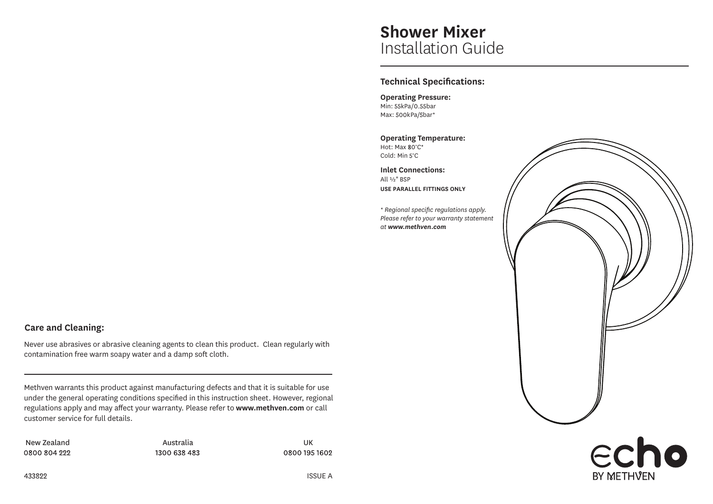# **Shower Mixer** Installation Guide

# **Technical Specifications:**

**Operating Pressure:** Min: 55kPa/0.55bar Max: 500kPa/5bar\*

**Operating Temperature:** Hot: Max 80°C\* Cold: Min 5°C

**Inlet Connections:** All ½" BSP **USE PARALLEL FITTINGS ONLY**

*\* Regional specific regulations apply. Please refer to your warranty statement at www.methven.com*



**BY METHVFN** 

# **Care and Cleaning:**

Never use abrasives or abrasive cleaning agents to clean this product. Clean regularly with contamination free warm soapy water and a damp soft cloth.

Methven warrants this product against manufacturing defects and that it is suitable for use under the general operating conditions specified in this instruction sheet. However, regional regulations apply and may affect your warranty. Please refer to **www.methven.com** or call customer service for full details.

New Zealand and an analytic Australia and Australia and the UK 0800 804 222

1300 638 483

0800 195 1602